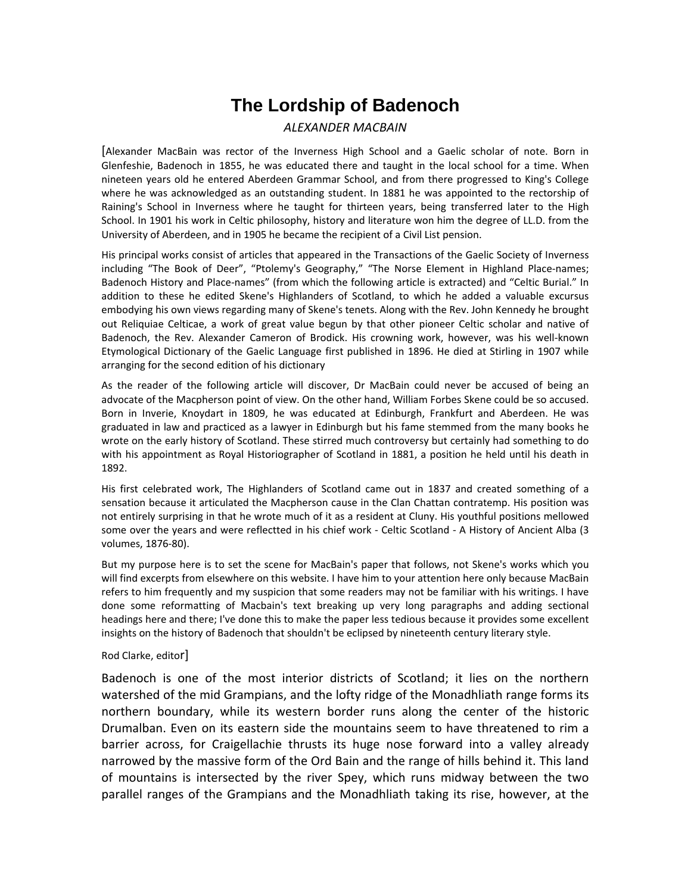# **The Lordship of Badenoch**

#### *ALEXANDER MACBAIN*

[Alexander MacBain was rector of the Inverness High School and a Gaelic scholar of note. Born in Glenfeshie, Badenoch in 1855, he was educated there and taught in the local school for a time. When nineteen years old he entered Aberdeen Grammar School, and from there progressed to King's College where he was acknowledged as an outstanding student. In 1881 he was appointed to the rectorship of Raining's School in Inverness where he taught for thirteen years, being transferred later to the High School. In 1901 his work in Celtic philosophy, history and literature won him the degree of LL.D. from the University of Aberdeen, and in 1905 he became the recipient of a Civil List pension.

His principal works consist of articles that appeared in the Transactions of the Gaelic Society of Inverness including "The Book of Deer", "Ptolemy's Geography," "The Norse Element in Highland Place-names; Badenoch History and Place-names" (from which the following article is extracted) and "Celtic Burial." In addition to these he edited Skene's Highlanders of Scotland, to which he added a valuable excursus embodying his own views regarding many of Skene's tenets. Along with the Rev. John Kennedy he brought out Reliquiae Celticae, a work of great value begun by that other pioneer Celtic scholar and native of Badenoch, the Rev. Alexander Cameron of Brodick. His crowning work, however, was his well-known Etymological Dictionary of the Gaelic Language first published in 1896. He died at Stirling in 1907 while arranging for the second edition of his dictionary

As the reader of the following article will discover, Dr MacBain could never be accused of being an advocate of the Macpherson point of view. On the other hand, William Forbes Skene could be so accused. Born in Inverie, Knoydart in 1809, he was educated at Edinburgh, Frankfurt and Aberdeen. He was graduated in law and practiced as a lawyer in Edinburgh but his fame stemmed from the many books he wrote on the early history of Scotland. These stirred much controversy but certainly had something to do with his appointment as Royal Historiographer of Scotland in 1881, a position he held until his death in 1892.

His first celebrated work, The Highlanders of Scotland came out in 1837 and created something of a sensation because it articulated the Macpherson cause in the Clan Chattan contratemp. His position was not entirely surprising in that he wrote much of it as a resident at Cluny. His youthful positions mellowed some over the years and were reflectted in his chief work ‐ Celtic Scotland ‐ A History of Ancient Alba (3 volumes, 1876‐80).

But my purpose here is to set the scene for MacBain's paper that follows, not Skene's works which you will find excerpts from elsewhere on this website. I have him to your attention here only because MacBain refers to him frequently and my suspicion that some readers may not be familiar with his writings. I have done some reformatting of Macbain's text breaking up very long paragraphs and adding sectional headings here and there; I've done this to make the paper less tedious because it provides some excellent insights on the history of Badenoch that shouldn't be eclipsed by nineteenth century literary style.

#### Rod Clarke, editor]

Badenoch is one of the most interior districts of Scotland; it lies on the northern watershed of the mid Grampians, and the lofty ridge of the Monadhliath range forms its northern boundary, while its western border runs along the center of the historic Drumalban. Even on its eastern side the mountains seem to have threatened to rim a barrier across, for Craigellachie thrusts its huge nose forward into a valley already narrowed by the massive form of the Ord Bain and the range of hills behind it. This land of mountains is intersected by the river Spey, which runs midway between the two parallel ranges of the Grampians and the Monadhliath taking its rise, however, at the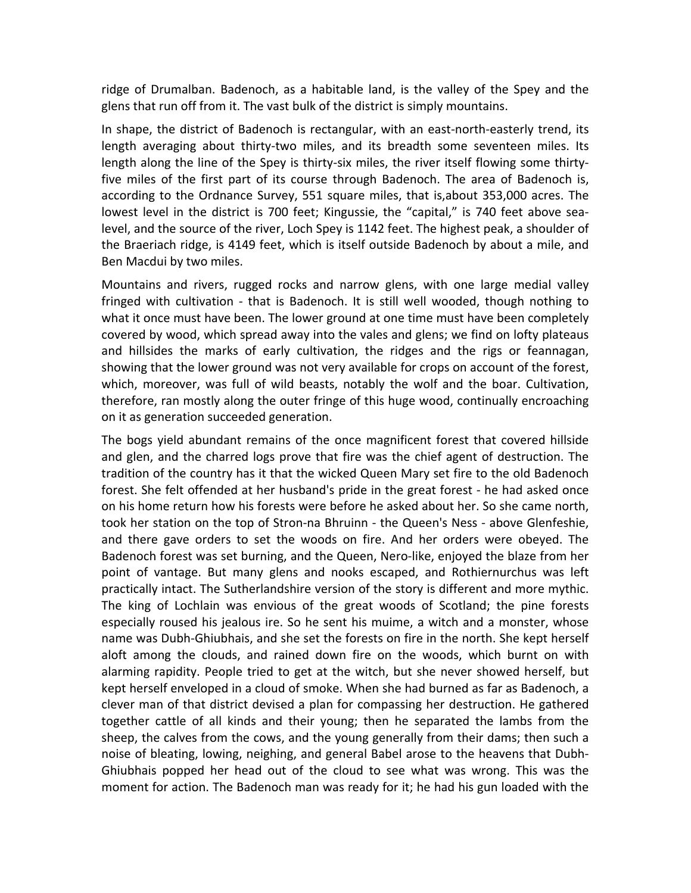ridge of Drumalban. Badenoch, as a habitable land, is the valley of the Spey and the glens that run off from it. The vast bulk of the district is simply mountains.

In shape, the district of Badenoch is rectangular, with an east-north-easterly trend, its length averaging about thirty‐two miles, and its breadth some seventeen miles. Its length along the line of the Spey is thirty-six miles, the river itself flowing some thirtyfive miles of the first part of its course through Badenoch. The area of Badenoch is, according to the Ordnance Survey, 551 square miles, that is,about 353,000 acres. The lowest level in the district is 700 feet; Kingussie, the "capital," is 740 feet above sealevel, and the source of the river, Loch Spey is 1142 feet. The highest peak, a shoulder of the Braeriach ridge, is 4149 feet, which is itself outside Badenoch by about a mile, and Ben Macdui by two miles.

Mountains and rivers, rugged rocks and narrow glens, with one large medial valley fringed with cultivation - that is Badenoch. It is still well wooded, though nothing to what it once must have been. The lower ground at one time must have been completely covered by wood, which spread away into the vales and glens; we find on lofty plateaus and hillsides the marks of early cultivation, the ridges and the rigs or feannagan, showing that the lower ground was not very available for crops on account of the forest, which, moreover, was full of wild beasts, notably the wolf and the boar. Cultivation, therefore, ran mostly along the outer fringe of this huge wood, continually encroaching on it as generation succeeded generation.

The bogs yield abundant remains of the once magnificent forest that covered hillside and glen, and the charred logs prove that fire was the chief agent of destruction. The tradition of the country has it that the wicked Queen Mary set fire to the old Badenoch forest. She felt offended at her husband's pride in the great forest ‐ he had asked once on his home return how his forests were before he asked about her. So she came north, took her station on the top of Stron‐na Bhruinn ‐ the Queen's Ness ‐ above Glenfeshie, and there gave orders to set the woods on fire. And her orders were obeyed. The Badenoch forest was set burning, and the Queen, Nero‐like, enjoyed the blaze from her point of vantage. But many glens and nooks escaped, and Rothiernurchus was left practically intact. The Sutherlandshire version of the story is different and more mythic. The king of Lochlain was envious of the great woods of Scotland; the pine forests especially roused his jealous ire. So he sent his muime, a witch and a monster, whose name was Dubh‐Ghiubhais, and she set the forests on fire in the north. She kept herself aloft among the clouds, and rained down fire on the woods, which burnt on with alarming rapidity. People tried to get at the witch, but she never showed herself, but kept herself enveloped in a cloud of smoke. When she had burned as far as Badenoch, a clever man of that district devised a plan for compassing her destruction. He gathered together cattle of all kinds and their young; then he separated the lambs from the sheep, the calves from the cows, and the young generally from their dams; then such a noise of bleating, lowing, neighing, and general Babel arose to the heavens that Dubh‐ Ghiubhais popped her head out of the cloud to see what was wrong. This was the moment for action. The Badenoch man was ready for it; he had his gun loaded with the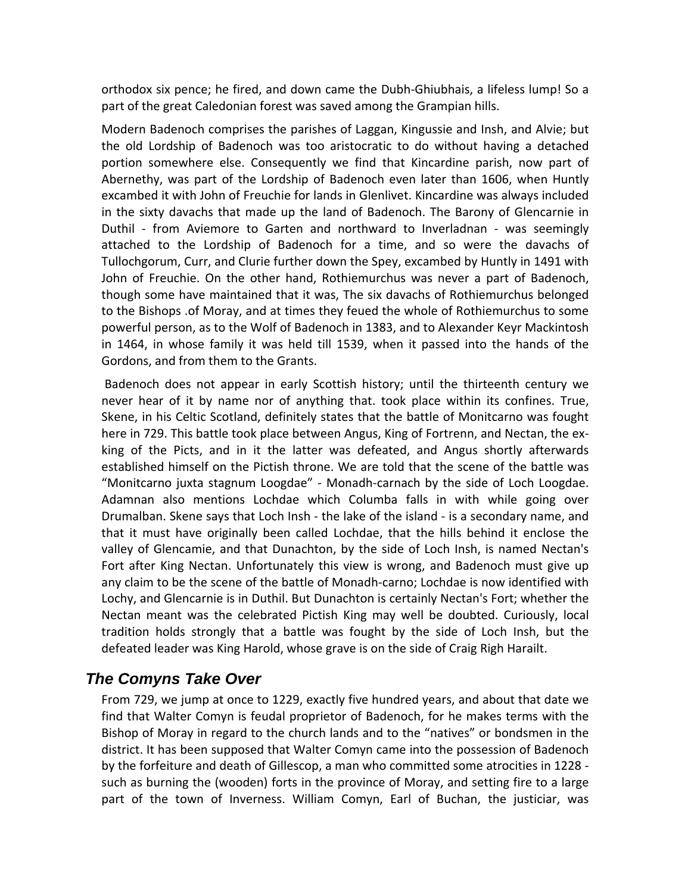orthodox six pence; he fired, and down came the Dubh‐Ghiubhais, a lifeless lump! So a part of the great Caledonian forest was saved among the Grampian hills.

Modern Badenoch comprises the parishes of Laggan, Kingussie and Insh, and Alvie; but the old Lordship of Badenoch was too aristocratic to do without having a detached portion somewhere else. Consequently we find that Kincardine parish, now part of Abernethy, was part of the Lordship of Badenoch even later than 1606, when Huntly excambed it with John of Freuchie for lands in Glenlivet. Kincardine was always included in the sixty davachs that made up the land of Badenoch. The Barony of Glencarnie in Duthil - from Aviemore to Garten and northward to Inverladnan - was seemingly attached to the Lordship of Badenoch for a time, and so were the davachs of Tullochgorum, Curr, and Clurie further down the Spey, excambed by Huntly in 1491 with John of Freuchie. On the other hand, Rothiemurchus was never a part of Badenoch, though some have maintained that it was, The six davachs of Rothiemurchus belonged to the Bishops .of Moray, and at times they feued the whole of Rothiemurchus to some powerful person, as to the Wolf of Badenoch in 1383, and to Alexander Keyr Mackintosh in 1464, in whose family it was held till 1539, when it passed into the hands of the Gordons, and from them to the Grants.

Badenoch does not appear in early Scottish history; until the thirteenth century we never hear of it by name nor of anything that. took place within its confines. True, Skene, in his Celtic Scotland, definitely states that the battle of Monitcarno was fought here in 729. This battle took place between Angus, King of Fortrenn, and Nectan, the ex‐ king of the Picts, and in it the latter was defeated, and Angus shortly afterwards established himself on the Pictish throne. We are told that the scene of the battle was "Monitcarno juxta stagnum Loogdae" ‐ Monadh‐carnach by the side of Loch Loogdae. Adamnan also mentions Lochdae which Columba falls in with while going over Drumalban. Skene says that Loch Insh ‐ the lake of the island ‐ is a secondary name, and that it must have originally been called Lochdae, that the hills behind it enclose the valley of Glencamie, and that Dunachton, by the side of Loch Insh, is named Nectan's Fort after King Nectan. Unfortunately this view is wrong, and Badenoch must give up any claim to be the scene of the battle of Monadh‐carno; Lochdae is now identified with Lochy, and Glencarnie is in Duthil. But Dunachton is certainly Nectan's Fort; whether the Nectan meant was the celebrated Pictish King may well be doubted. Curiously, local tradition holds strongly that a battle was fought by the side of Loch Insh, but the defeated leader was King Harold, whose grave is on the side of Craig Righ Harailt.

# *The Comyns Take Over*

From 729, we jump at once to 1229, exactly five hundred years, and about that date we find that Walter Comyn is feudal proprietor of Badenoch, for he makes terms with the Bishop of Moray in regard to the church lands and to the "natives" or bondsmen in the district. It has been supposed that Walter Comyn came into the possession of Badenoch by the forfeiture and death of Gillescop, a man who committed some atrocities in 1228 ‐ such as burning the (wooden) forts in the province of Moray, and setting fire to a large part of the town of Inverness. William Comyn, Earl of Buchan, the justiciar, was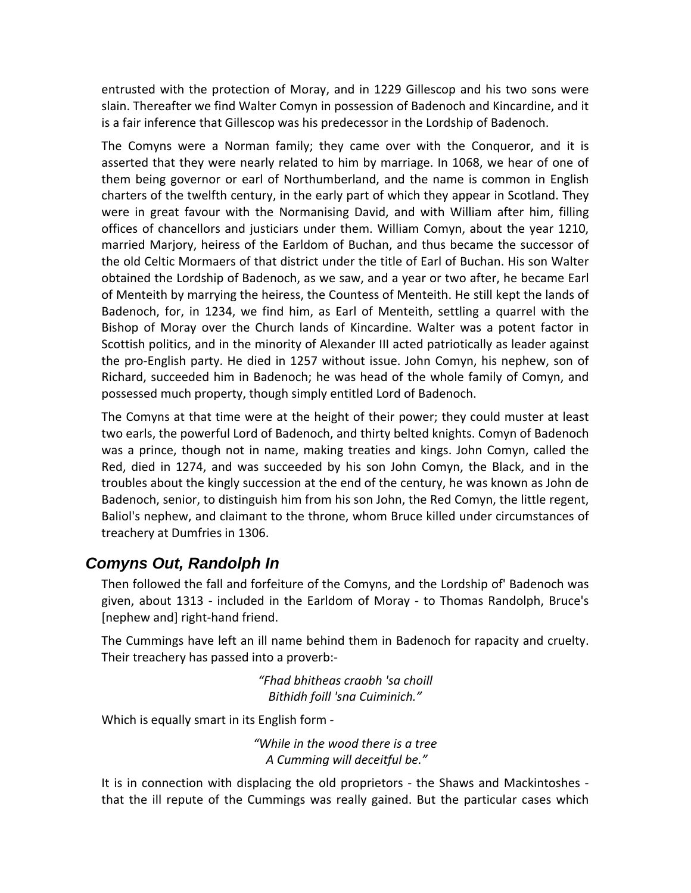entrusted with the protection of Moray, and in 1229 Gillescop and his two sons were slain. Thereafter we find Walter Comyn in possession of Badenoch and Kincardine, and it is a fair inference that Gillescop was his predecessor in the Lordship of Badenoch.

The Comyns were a Norman family; they came over with the Conqueror, and it is asserted that they were nearly related to him by marriage. In 1068, we hear of one of them being governor or earl of Northumberland, and the name is common in English charters of the twelfth century, in the early part of which they appear in Scotland. They were in great favour with the Normanising David, and with William after him, filling offices of chancellors and justiciars under them. William Comyn, about the year 1210, married Marjory, heiress of the Earldom of Buchan, and thus became the successor of the old Celtic Mormaers of that district under the title of Earl of Buchan. His son Walter obtained the Lordship of Badenoch, as we saw, and a year or two after, he became Earl of Menteith by marrying the heiress, the Countess of Menteith. He still kept the lands of Badenoch, for, in 1234, we find him, as Earl of Menteith, settling a quarrel with the Bishop of Moray over the Church lands of Kincardine. Walter was a potent factor in Scottish politics, and in the minority of Alexander III acted patriotically as leader against the pro‐English party. He died in 1257 without issue. John Comyn, his nephew, son of Richard, succeeded him in Badenoch; he was head of the whole family of Comyn, and possessed much property, though simply entitled Lord of Badenoch.

The Comyns at that time were at the height of their power; they could muster at least two earls, the powerful Lord of Badenoch, and thirty belted knights. Comyn of Badenoch was a prince, though not in name, making treaties and kings. John Comyn, called the Red, died in 1274, and was succeeded by his son John Comyn, the Black, and in the troubles about the kingly succession at the end of the century, he was known as John de Badenoch, senior, to distinguish him from his son John, the Red Comyn, the little regent, Baliol's nephew, and claimant to the throne, whom Bruce killed under circumstances of treachery at Dumfries in 1306.

# *Comyns Out, Randolph In*

Then followed the fall and forfeiture of the Comyns, and the Lordship of' Badenoch was given, about 1313 ‐ included in the Earldom of Moray ‐ to Thomas Randolph, Bruce's [nephew and] right‐hand friend.

The Cummings have left an ill name behind them in Badenoch for rapacity and cruelty. Their treachery has passed into a proverb:‐

> *"Fhad bhitheas craobh 'sa choill Bithidh foill 'sna Cuiminich."*

Which is equally smart in its English form ‐

*"While in the wood there is a tree A Cumming will deceitful be."*

It is in connection with displacing the old proprietors - the Shaws and Mackintoshes that the ill repute of the Cummings was really gained. But the particular cases which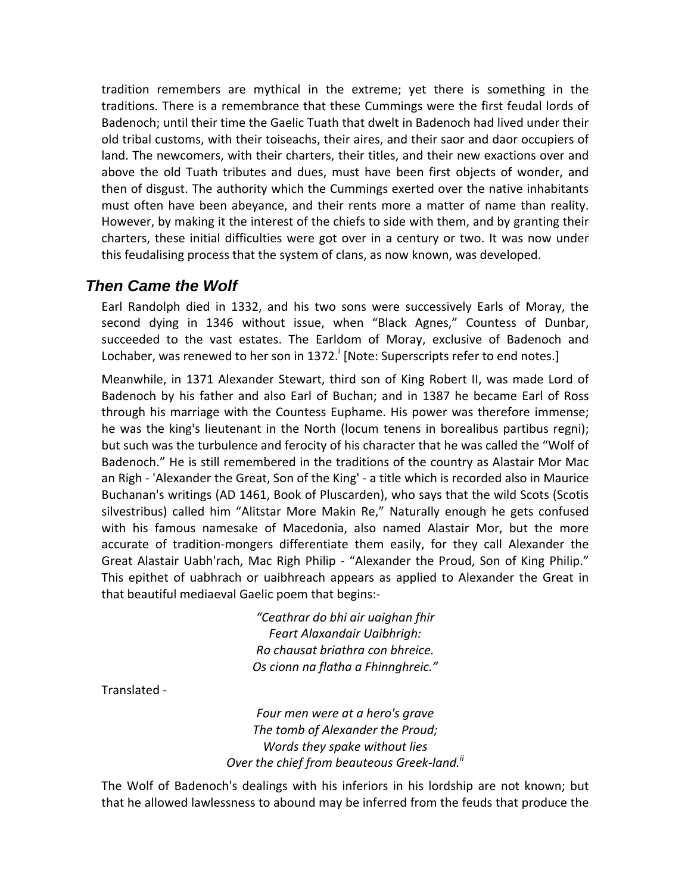tradition remembers are mythical in the extreme; yet there is something in the traditions. There is a remembrance that these Cummings were the first feudal lords of Badenoch; until their time the Gaelic Tuath that dwelt in Badenoch had lived under their old tribal customs, with their toiseachs, their aires, and their saor and daor occupiers of land. The newcomers, with their charters, their titles, and their new exactions over and above the old Tuath tributes and dues, must have been first objects of wonder, and then of disgust. The authority which the Cummings exerted over the native inhabitants must often have been abeyance, and their rents more a matter of name than reality. However, by making it the interest of the chiefs to side with them, and by granting their charters, these initial difficulties were got over in a century or two. It was now under this feudalising process that the system of clans, as now known, was developed.

### *Then Came the Wolf*

Earl Randolph died in 1332, and his two sons were successively Earls of Moray, the second dying in 1346 without issue, when "Black Agnes," Countess of Dunbar, succeeded to the vast estates. The Earldom of Moray, exclusive of Badenoch and Lochaber, was renewed to her son in 1372.<sup>i</sup> [Note: Superscripts refer to end notes.]

Meanwhile, in 1371 Alexander Stewart, third son of King Robert II, was made Lord of Badenoch by his father and also Earl of Buchan; and in 1387 he became Earl of Ross through his marriage with the Countess Euphame. His power was therefore immense; he was the king's lieutenant in the North (locum tenens in borealibus partibus regni); but such was the turbulence and ferocity of his character that he was called the "Wolf of Badenoch." He is still remembered in the traditions of the country as Alastair Mor Mac an Righ ‐ 'Alexander the Great, Son of the King' ‐ a title which is recorded also in Maurice Buchanan's writings (AD 1461, Book of Pluscarden), who says that the wild Scots (Scotis silvestribus) called him "Alitstar More Makin Re," Naturally enough he gets confused with his famous namesake of Macedonia, also named Alastair Mor, but the more accurate of tradition‐mongers differentiate them easily, for they call Alexander the Great Alastair Uabh'rach, Mac Righ Philip - "Alexander the Proud, Son of King Philip." This epithet of uabhrach or uaibhreach appears as applied to Alexander the Great in that beautiful mediaeval Gaelic poem that begins:‐

> *"Ceathrar do bhi air uaighan fhir Feart Alaxandair Uaibhrigh: Ro chausat briathra con bhreice. Os cionn na flatha a Fhinnghreic."*

Translated ‐

*Four men were at a hero's grave The tomb of Alexander the Proud; Words they spake without lies Over the chief from beauteous Greek‐land.ii*

The Wolf of Badenoch's dealings with his inferiors in his lordship are not known; but that he allowed lawlessness to abound may be inferred from the feuds that produce the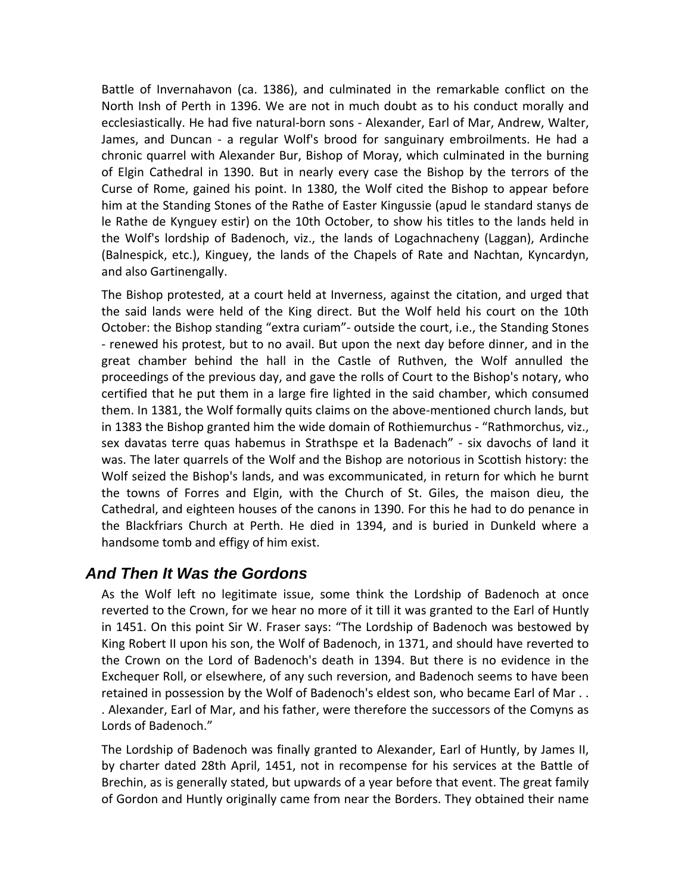Battle of Invernahavon (ca. 1386), and culminated in the remarkable conflict on the North Insh of Perth in 1396. We are not in much doubt as to his conduct morally and ecclesiastically. He had five natural‐born sons ‐ Alexander, Earl of Mar, Andrew, Walter, James, and Duncan ‐ a regular Wolf's brood for sanguinary embroilments. He had a chronic quarrel with Alexander Bur, Bishop of Moray, which culminated in the burning of Elgin Cathedral in 1390. But in nearly every case the Bishop by the terrors of the Curse of Rome, gained his point. In 1380, the Wolf cited the Bishop to appear before him at the Standing Stones of the Rathe of Easter Kingussie (apud le standard stanys de le Rathe de Kynguey estir) on the 10th October, to show his titles to the lands held in the Wolf's lordship of Badenoch, viz., the lands of Logachnacheny (Laggan), Ardinche (Balnespick, etc.), Kinguey, the lands of the Chapels of Rate and Nachtan, Kyncardyn, and also Gartinengally.

The Bishop protested, at a court held at Inverness, against the citation, and urged that the said lands were held of the King direct. But the Wolf held his court on the 10th October: the Bishop standing "extra curiam"‐ outside the court, i.e., the Standing Stones ‐ renewed his protest, but to no avail. But upon the next day before dinner, and in the great chamber behind the hall in the Castle of Ruthven, the Wolf annulled the proceedings of the previous day, and gave the rolls of Court to the Bishop's notary, who certified that he put them in a large fire lighted in the said chamber, which consumed them. In 1381, the Wolf formally quits claims on the above-mentioned church lands, but in 1383 the Bishop granted him the wide domain of Rothiemurchus ‐ "Rathmorchus, viz., sex davatas terre quas habemus in Strathspe et la Badenach" ‐ six davochs of land it was. The later quarrels of the Wolf and the Bishop are notorious in Scottish history: the Wolf seized the Bishop's lands, and was excommunicated, in return for which he burnt the towns of Forres and Elgin, with the Church of St. Giles, the maison dieu, the Cathedral, and eighteen houses of the canons in 1390. For this he had to do penance in the Blackfriars Church at Perth. He died in 1394, and is buried in Dunkeld where a handsome tomb and effigy of him exist.

# *And Then It Was the Gordons*

As the Wolf left no legitimate issue, some think the Lordship of Badenoch at once reverted to the Crown, for we hear no more of it till it was granted to the Earl of Huntly in 1451. On this point Sir W. Fraser says: "The Lordship of Badenoch was bestowed by King Robert II upon his son, the Wolf of Badenoch, in 1371, and should have reverted to the Crown on the Lord of Badenoch's death in 1394. But there is no evidence in the Exchequer Roll, or elsewhere, of any such reversion, and Badenoch seems to have been retained in possession by the Wolf of Badenoch's eldest son, who became Earl of Mar . . . Alexander, Earl of Mar, and his father, were therefore the successors of the Comyns as Lords of Badenoch."

The Lordship of Badenoch was finally granted to Alexander, Earl of Huntly, by James II, by charter dated 28th April, 1451, not in recompense for his services at the Battle of Brechin, as is generally stated, but upwards of a year before that event. The great family of Gordon and Huntly originally came from near the Borders. They obtained their name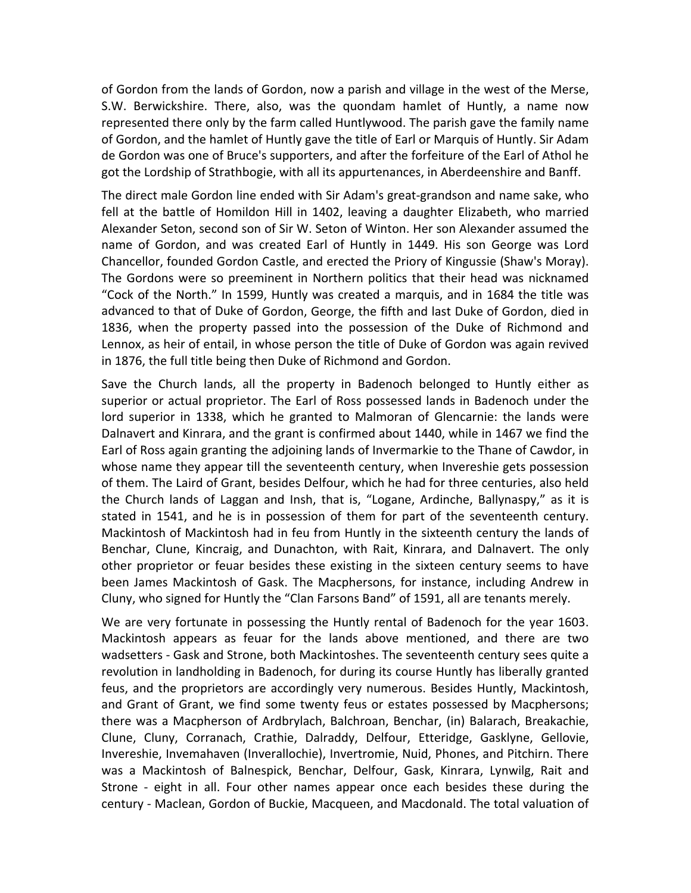of Gordon from the lands of Gordon, now a parish and village in the west of the Merse, S.W. Berwickshire. There, also, was the quondam hamlet of Huntly, a name now represented there only by the farm called Huntlywood. The parish gave the family name of Gordon, and the hamlet of Huntly gave the title of Earl or Marquis of Huntly. Sir Adam de Gordon was one of Bruce's supporters, and after the forfeiture of the Earl of Athol he got the Lordship of Strathbogie, with all its appurtenances, in Aberdeenshire and Banff.

The direct male Gordon line ended with Sir Adam's great‐grandson and name sake, who fell at the battle of Homildon Hill in 1402, leaving a daughter Elizabeth, who married Alexander Seton, second son of Sir W. Seton of Winton. Her son Alexander assumed the name of Gordon, and was created Earl of Huntly in 1449. His son George was Lord Chancellor, founded Gordon Castle, and erected the Priory of Kingussie (Shaw's Moray). The Gordons were so preeminent in Northern politics that their head was nicknamed "Cock of the North." In 1599, Huntly was created a marquis, and in 1684 the title was advanced to that of Duke of Gordon, George, the fifth and last Duke of Gordon, died in 1836, when the property passed into the possession of the Duke of Richmond and Lennox, as heir of entail, in whose person the title of Duke of Gordon was again revived in 1876, the full title being then Duke of Richmond and Gordon.

Save the Church lands, all the property in Badenoch belonged to Huntly either as superior or actual proprietor. The Earl of Ross possessed lands in Badenoch under the lord superior in 1338, which he granted to Malmoran of Glencarnie: the lands were Dalnavert and Kinrara, and the grant is confirmed about 1440, while in 1467 we find the Earl of Ross again granting the adjoining lands of Invermarkie to the Thane of Cawdor, in whose name they appear till the seventeenth century, when Invereshie gets possession of them. The Laird of Grant, besides Delfour, which he had for three centuries, also held the Church lands of Laggan and Insh, that is, "Logane, Ardinche, Ballynaspy," as it is stated in 1541, and he is in possession of them for part of the seventeenth century. Mackintosh of Mackintosh had in feu from Huntly in the sixteenth century the lands of Benchar, Clune, Kincraig, and Dunachton, with Rait, Kinrara, and Dalnavert. The only other proprietor or feuar besides these existing in the sixteen century seems to have been James Mackintosh of Gask. The Macphersons, for instance, including Andrew in Cluny, who signed for Huntly the "Clan Farsons Band" of 1591, all are tenants merely.

We are very fortunate in possessing the Huntly rental of Badenoch for the year 1603. Mackintosh appears as feuar for the lands above mentioned, and there are two wadsetters ‐ Gask and Strone, both Mackintoshes. The seventeenth century sees quite a revolution in landholding in Badenoch, for during its course Huntly has liberally granted feus, and the proprietors are accordingly very numerous. Besides Huntly, Mackintosh, and Grant of Grant, we find some twenty feus or estates possessed by Macphersons; there was a Macpherson of Ardbrylach, Balchroan, Benchar, (in) Balarach, Breakachie, Clune, Cluny, Corranach, Crathie, Dalraddy, Delfour, Etteridge, Gasklyne, Gellovie, Invereshie, Invemahaven (Inverallochie), Invertromie, Nuid, Phones, and Pitchirn. There was a Mackintosh of Balnespick, Benchar, Delfour, Gask, Kinrara, Lynwilg, Rait and Strone - eight in all. Four other names appear once each besides these during the century ‐ Maclean, Gordon of Buckie, Macqueen, and Macdonald. The total valuation of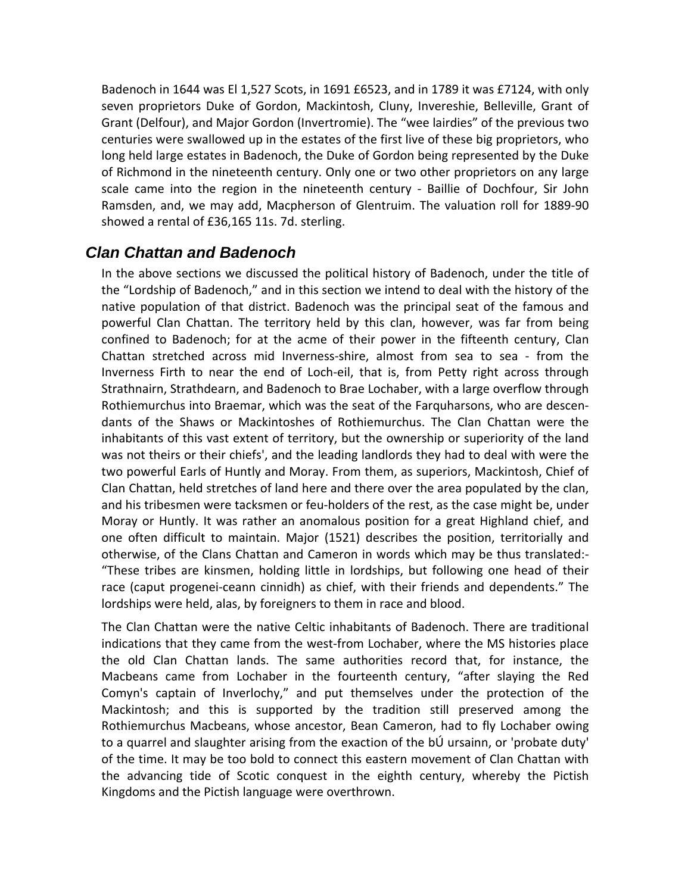Badenoch in 1644 was El 1,527 Scots, in 1691 £6523, and in 1789 it was £7124, with only seven proprietors Duke of Gordon, Mackintosh, Cluny, Invereshie, Belleville, Grant of Grant (Delfour), and Major Gordon (Invertromie). The "wee lairdies" of the previous two centuries were swallowed up in the estates of the first live of these big proprietors, who long held large estates in Badenoch, the Duke of Gordon being represented by the Duke of Richmond in the nineteenth century. Only one or two other proprietors on any large scale came into the region in the nineteenth century - Baillie of Dochfour, Sir John Ramsden, and, we may add, Macpherson of Glentruim. The valuation roll for 1889‐90 showed a rental of £36,165 11s. 7d. sterling.

# *Clan Chattan and Badenoch*

In the above sections we discussed the political history of Badenoch, under the title of the "Lordship of Badenoch," and in this section we intend to deal with the history of the native population of that district. Badenoch was the principal seat of the famous and powerful Clan Chattan. The territory held by this clan, however, was far from being confined to Badenoch; for at the acme of their power in the fifteenth century, Clan Chattan stretched across mid Inverness‐shire, almost from sea to sea ‐ from the Inverness Firth to near the end of Loch‐eil, that is, from Petty right across through Strathnairn, Strathdearn, and Badenoch to Brae Lochaber, with a large overflow through Rothiemurchus into Braemar, which was the seat of the Farquharsons, who are descen‐ dants of the Shaws or Mackintoshes of Rothiemurchus. The Clan Chattan were the inhabitants of this vast extent of territory, but the ownership or superiority of the land was not theirs or their chiefs', and the leading landlords they had to deal with were the two powerful Earls of Huntly and Moray. From them, as superiors, Mackintosh, Chief of Clan Chattan, held stretches of land here and there over the area populated by the clan, and his tribesmen were tacksmen or feu-holders of the rest, as the case might be, under Moray or Huntly. It was rather an anomalous position for a great Highland chief, and one often difficult to maintain. Major (1521) describes the position, territorially and otherwise, of the Clans Chattan and Cameron in words which may be thus translated:‐ "These tribes are kinsmen, holding little in lordships, but following one head of their race (caput progenei-ceann cinnidh) as chief, with their friends and dependents." The lordships were held, alas, by foreigners to them in race and blood.

The Clan Chattan were the native Celtic inhabitants of Badenoch. There are traditional indications that they came from the west‐from Lochaber, where the MS histories place the old Clan Chattan lands. The same authorities record that, for instance, the Macbeans came from Lochaber in the fourteenth century, "after slaying the Red Comyn's captain of Inverlochy," and put themselves under the protection of the Mackintosh; and this is supported by the tradition still preserved among the Rothiemurchus Macbeans, whose ancestor, Bean Cameron, had to fly Lochaber owing to a quarrel and slaughter arising from the exaction of the bÚ ursainn, or 'probate duty' of the time. It may be too bold to connect this eastern movement of Clan Chattan with the advancing tide of Scotic conquest in the eighth century, whereby the Pictish Kingdoms and the Pictish language were overthrown.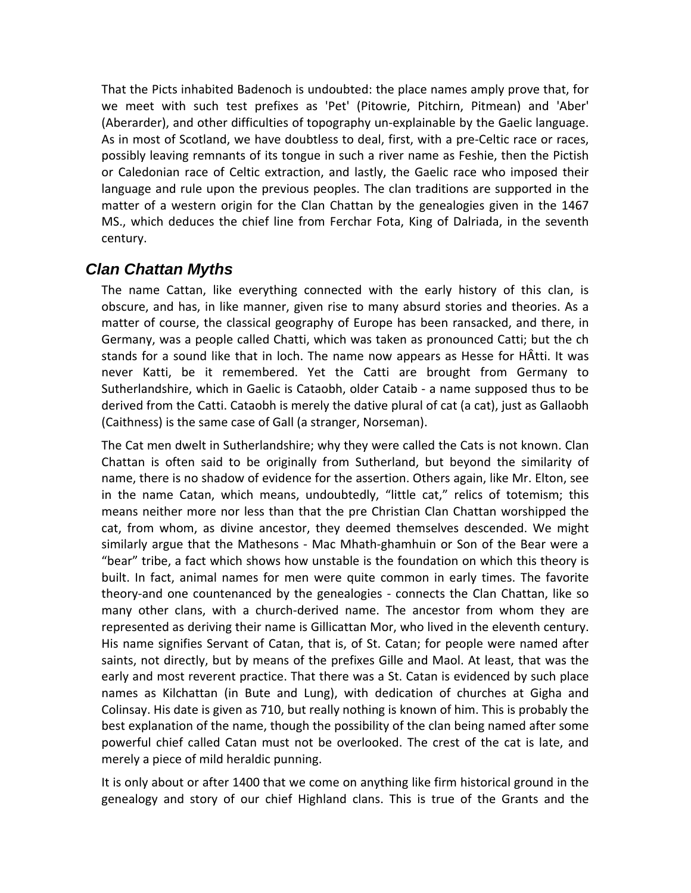That the Picts inhabited Badenoch is undoubted: the place names amply prove that, for we meet with such test prefixes as 'Pet' (Pitowrie, Pitchirn, Pitmean) and 'Aber' (Aberarder), and other difficulties of topography un‐explainable by the Gaelic language. As in most of Scotland, we have doubtless to deal, first, with a pre‐Celtic race or races, possibly leaving remnants of its tongue in such a river name as Feshie, then the Pictish or Caledonian race of Celtic extraction, and lastly, the Gaelic race who imposed their language and rule upon the previous peoples. The clan traditions are supported in the matter of a western origin for the Clan Chattan by the genealogies given in the 1467 MS., which deduces the chief line from Ferchar Fota, King of Dalriada, in the seventh century.

# *Clan Chattan Myths*

The name Cattan, like everything connected with the early history of this clan, is obscure, and has, in like manner, given rise to many absurd stories and theories. As a matter of course, the classical geography of Europe has been ransacked, and there, in Germany, was a people called Chatti, which was taken as pronounced Catti; but the ch stands for a sound like that in loch. The name now appears as Hesse for HÂtti. It was never Katti, be it remembered. Yet the Catti are brought from Germany to Sutherlandshire, which in Gaelic is Cataobh, older Cataib ‐ a name supposed thus to be derived from the Catti. Cataobh is merely the dative plural of cat (a cat), just as Gallaobh (Caithness) is the same case of Gall (a stranger, Norseman).

The Cat men dwelt in Sutherlandshire; why they were called the Cats is not known. Clan Chattan is often said to be originally from Sutherland, but beyond the similarity of name, there is no shadow of evidence for the assertion. Others again, like Mr. Elton, see in the name Catan, which means, undoubtedly, "little cat," relics of totemism; this means neither more nor less than that the pre Christian Clan Chattan worshipped the cat, from whom, as divine ancestor, they deemed themselves descended. We might similarly argue that the Mathesons ‐ Mac Mhath‐ghamhuin or Son of the Bear were a "bear" tribe, a fact which shows how unstable is the foundation on which this theory is built. In fact, animal names for men were quite common in early times. The favorite theory‐and one countenanced by the genealogies ‐ connects the Clan Chattan, like so many other clans, with a church‐derived name. The ancestor from whom they are represented as deriving their name is Gillicattan Mor, who lived in the eleventh century. His name signifies Servant of Catan, that is, of St. Catan; for people were named after saints, not directly, but by means of the prefixes Gille and Maol. At least, that was the early and most reverent practice. That there was a St. Catan is evidenced by such place names as Kilchattan (in Bute and Lung), with dedication of churches at Gigha and Colinsay. His date is given as 710, but really nothing is known of him. This is probably the best explanation of the name, though the possibility of the clan being named after some powerful chief called Catan must not be overlooked. The crest of the cat is late, and merely a piece of mild heraldic punning.

It is only about or after 1400 that we come on anything like firm historical ground in the genealogy and story of our chief Highland clans. This is true of the Grants and the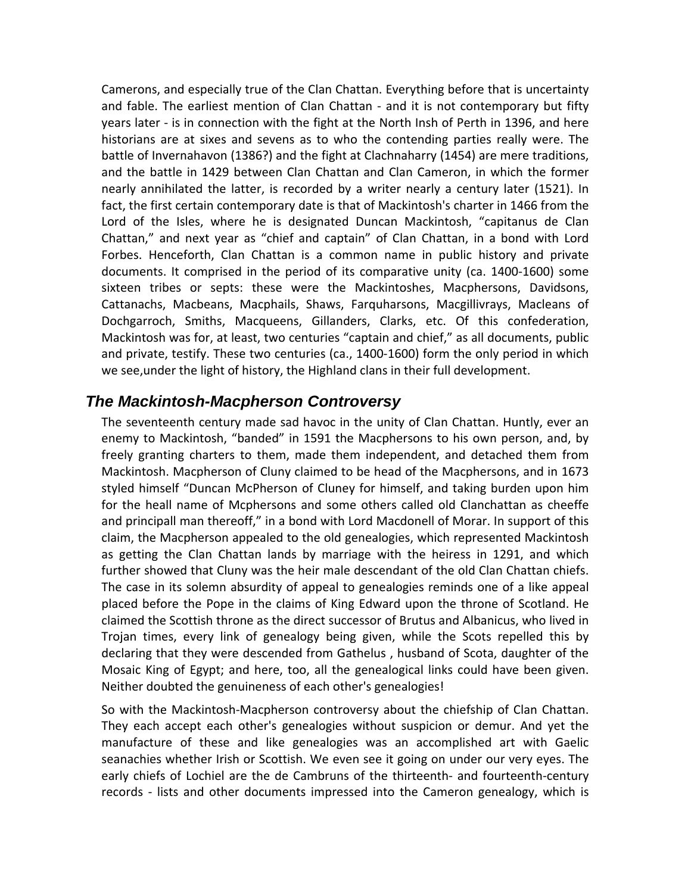Camerons, and especially true of the Clan Chattan. Everything before that is uncertainty and fable. The earliest mention of Clan Chattan - and it is not contemporary but fifty years later ‐ is in connection with the fight at the North Insh of Perth in 1396, and here historians are at sixes and sevens as to who the contending parties really were. The battle of Invernahavon (1386?) and the fight at Clachnaharry (1454) are mere traditions, and the battle in 1429 between Clan Chattan and Clan Cameron, in which the former nearly annihilated the latter, is recorded by a writer nearly a century later (1521). In fact, the first certain contemporary date is that of Mackintosh's charter in 1466 from the Lord of the Isles, where he is designated Duncan Mackintosh, "capitanus de Clan Chattan," and next year as "chief and captain" of Clan Chattan, in a bond with Lord Forbes. Henceforth, Clan Chattan is a common name in public history and private documents. It comprised in the period of its comparative unity (ca. 1400‐1600) some sixteen tribes or septs: these were the Mackintoshes, Macphersons, Davidsons, Cattanachs, Macbeans, Macphails, Shaws, Farquharsons, Macgillivrays, Macleans of Dochgarroch, Smiths, Macqueens, Gillanders, Clarks, etc. Of this confederation, Mackintosh was for, at least, two centuries "captain and chief," as all documents, public and private, testify. These two centuries (ca., 1400‐1600) form the only period in which we see,under the light of history, the Highland clans in their full development.

### *The Mackintosh-Macpherson Controversy*

The seventeenth century made sad havoc in the unity of Clan Chattan. Huntly, ever an enemy to Mackintosh, "banded" in 1591 the Macphersons to his own person, and, by freely granting charters to them, made them independent, and detached them from Mackintosh. Macpherson of Cluny claimed to be head of the Macphersons, and in 1673 styled himself "Duncan McPherson of Cluney for himself, and taking burden upon him for the heall name of Mcphersons and some others called old Clanchattan as cheeffe and principall man thereoff," in a bond with Lord Macdonell of Morar. In support of this claim, the Macpherson appealed to the old genealogies, which represented Mackintosh as getting the Clan Chattan lands by marriage with the heiress in 1291, and which further showed that Cluny was the heir male descendant of the old Clan Chattan chiefs. The case in its solemn absurdity of appeal to genealogies reminds one of a like appeal placed before the Pope in the claims of King Edward upon the throne of Scotland. He claimed the Scottish throne as the direct successor of Brutus and Albanicus, who lived in Trojan times, every link of genealogy being given, while the Scots repelled this by declaring that they were descended from Gathelus , husband of Scota, daughter of the Mosaic King of Egypt; and here, too, all the genealogical links could have been given. Neither doubted the genuineness of each other's genealogies!

So with the Mackintosh‐Macpherson controversy about the chiefship of Clan Chattan. They each accept each other's genealogies without suspicion or demur. And yet the manufacture of these and like genealogies was an accomplished art with Gaelic seanachies whether Irish or Scottish. We even see it going on under our very eyes. The early chiefs of Lochiel are the de Cambruns of the thirteenth‐ and fourteenth‐century records - lists and other documents impressed into the Cameron genealogy, which is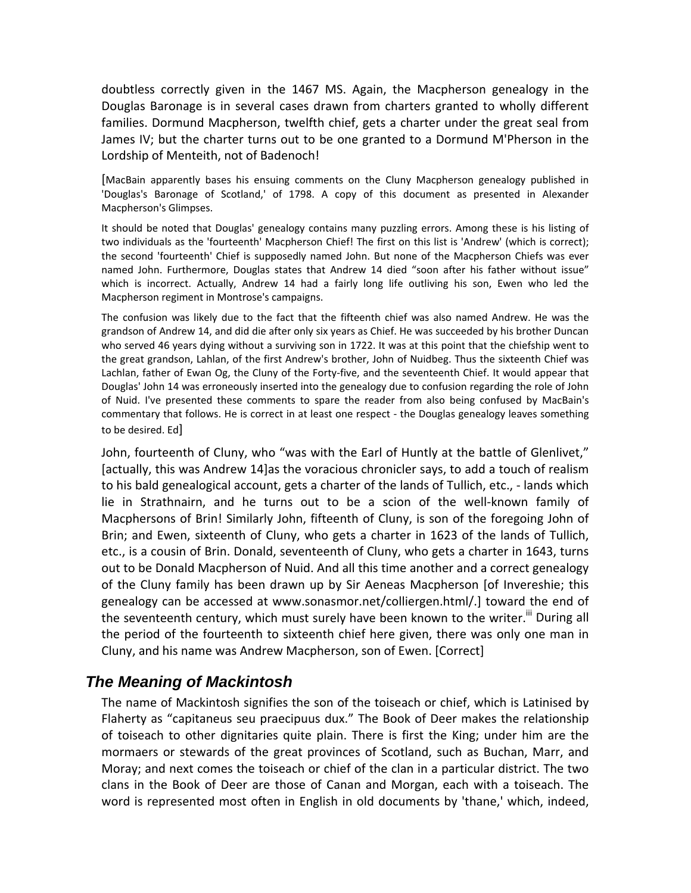doubtless correctly given in the 1467 MS. Again, the Macpherson genealogy in the Douglas Baronage is in several cases drawn from charters granted to wholly different families. Dormund Macpherson, twelfth chief, gets a charter under the great seal from James IV; but the charter turns out to be one granted to a Dormund M'Pherson in the Lordship of Menteith, not of Badenoch!

[MacBain apparently bases his ensuing comments on the Cluny Macpherson genealogy published in 'Douglas's Baronage of Scotland,' of 1798. A copy of this document as presented in Alexander Macpherson's Glimpses.

It should be noted that Douglas' genealogy contains many puzzling errors. Among these is his listing of two individuals as the 'fourteenth' Macpherson Chief! The first on this list is 'Andrew' (which is correct); the second 'fourteenth' Chief is supposedly named John. But none of the Macpherson Chiefs was ever named John. Furthermore, Douglas states that Andrew 14 died "soon after his father without issue" which is incorrect. Actually, Andrew 14 had a fairly long life outliving his son, Ewen who led the Macpherson regiment in Montrose's campaigns.

The confusion was likely due to the fact that the fifteenth chief was also named Andrew. He was the grandson of Andrew 14, and did die after only six years as Chief. He was succeeded by his brother Duncan who served 46 years dying without a surviving son in 1722. It was at this point that the chiefship went to the great grandson, Lahlan, of the first Andrew's brother, John of Nuidbeg. Thus the sixteenth Chief was Lachlan, father of Ewan Og, the Cluny of the Forty-five, and the seventeenth Chief. It would appear that Douglas' John 14 was erroneously inserted into the genealogy due to confusion regarding the role of John of Nuid. I've presented these comments to spare the reader from also being confused by MacBain's commentary that follows. He is correct in at least one respect - the Douglas genealogy leaves something to be desired. Ed]

John, fourteenth of Cluny, who "was with the Earl of Huntly at the battle of Glenlivet," [actually, this was Andrew 14]as the voracious chronicler says, to add a touch of realism to his bald genealogical account, gets a charter of the lands of Tullich, etc., ‐ lands which lie in Strathnairn, and he turns out to be a scion of the well-known family of Macphersons of Brin! Similarly John, fifteenth of Cluny, is son of the foregoing John of Brin; and Ewen, sixteenth of Cluny, who gets a charter in 1623 of the lands of Tullich, etc., is a cousin of Brin. Donald, seventeenth of Cluny, who gets a charter in 1643, turns out to be Donald Macpherson of Nuid. And all this time another and a correct genealogy of the Cluny family has been drawn up by Sir Aeneas Macpherson [of Invereshie; this genealogy can be accessed at www.sonasmor.net/colliergen.html/.] toward the end of the seventeenth century, which must surely have been known to the writer.<sup>iii</sup> During all the period of the fourteenth to sixteenth chief here given, there was only one man in Cluny, and his name was Andrew Macpherson, son of Ewen. [Correct]

# *The Meaning of Mackintosh*

The name of Mackintosh signifies the son of the toiseach or chief, which is Latinised by Flaherty as "capitaneus seu praecipuus dux." The Book of Deer makes the relationship of toiseach to other dignitaries quite plain. There is first the King; under him are the mormaers or stewards of the great provinces of Scotland, such as Buchan, Marr, and Moray; and next comes the toiseach or chief of the clan in a particular district. The two clans in the Book of Deer are those of Canan and Morgan, each with a toiseach. The word is represented most often in English in old documents by 'thane,' which, indeed,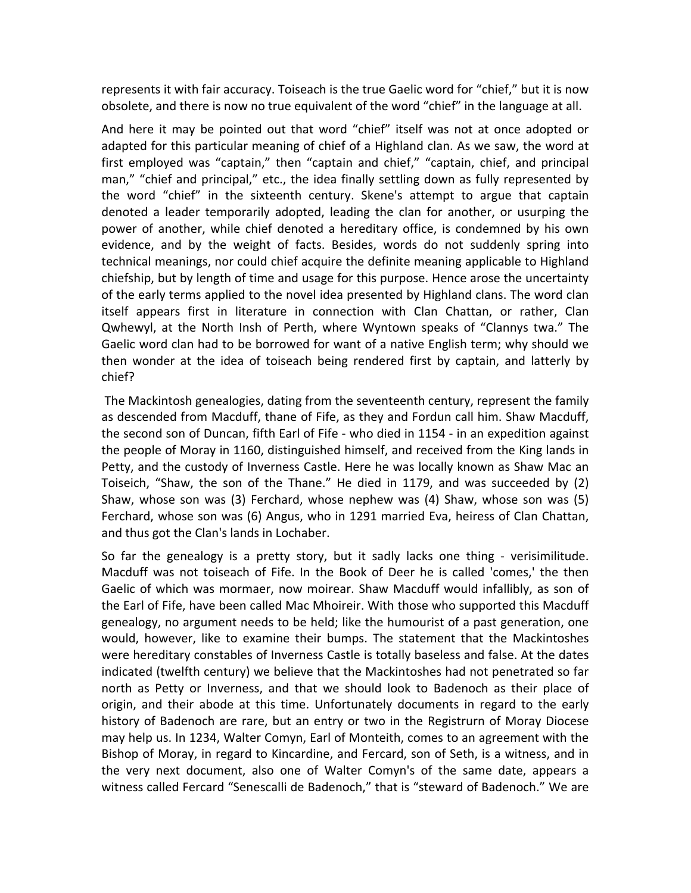represents it with fair accuracy. Toiseach is the true Gaelic word for "chief," but it is now obsolete, and there is now no true equivalent of the word "chief" in the language at all.

And here it may be pointed out that word "chief" itself was not at once adopted or adapted for this particular meaning of chief of a Highland clan. As we saw, the word at first employed was "captain," then "captain and chief," "captain, chief, and principal man," "chief and principal," etc., the idea finally settling down as fully represented by the word "chief" in the sixteenth century. Skene's attempt to argue that captain denoted a leader temporarily adopted, leading the clan for another, or usurping the power of another, while chief denoted a hereditary office, is condemned by his own evidence, and by the weight of facts. Besides, words do not suddenly spring into technical meanings, nor could chief acquire the definite meaning applicable to Highland chiefship, but by length of time and usage for this purpose. Hence arose the uncertainty of the early terms applied to the novel idea presented by Highland clans. The word clan itself appears first in literature in connection with Clan Chattan, or rather, Clan Qwhewyl, at the North Insh of Perth, where Wyntown speaks of "Clannys twa." The Gaelic word clan had to be borrowed for want of a native English term; why should we then wonder at the idea of toiseach being rendered first by captain, and latterly by chief?

The Mackintosh genealogies, dating from the seventeenth century, represent the family as descended from Macduff, thane of Fife, as they and Fordun call him. Shaw Macduff, the second son of Duncan, fifth Earl of Fife ‐ who died in 1154 ‐ in an expedition against the people of Moray in 1160, distinguished himself, and received from the King lands in Petty, and the custody of Inverness Castle. Here he was locally known as Shaw Mac an Toiseich, "Shaw, the son of the Thane." He died in 1179, and was succeeded by (2) Shaw, whose son was (3) Ferchard, whose nephew was (4) Shaw, whose son was (5) Ferchard, whose son was (6) Angus, who in 1291 married Eva, heiress of Clan Chattan, and thus got the Clan's lands in Lochaber.

So far the genealogy is a pretty story, but it sadly lacks one thing - verisimilitude. Macduff was not toiseach of Fife. In the Book of Deer he is called 'comes,' the then Gaelic of which was mormaer, now moirear. Shaw Macduff would infallibly, as son of the Earl of Fife, have been called Mac Mhoireir. With those who supported this Macduff genealogy, no argument needs to be held; like the humourist of a past generation, one would, however, like to examine their bumps. The statement that the Mackintoshes were hereditary constables of Inverness Castle is totally baseless and false. At the dates indicated (twelfth century) we believe that the Mackintoshes had not penetrated so far north as Petty or Inverness, and that we should look to Badenoch as their place of origin, and their abode at this time. Unfortunately documents in regard to the early history of Badenoch are rare, but an entry or two in the Registrurn of Moray Diocese may help us. In 1234, Walter Comyn, Earl of Monteith, comes to an agreement with the Bishop of Moray, in regard to Kincardine, and Fercard, son of Seth, is a witness, and in the very next document, also one of Walter Comyn's of the same date, appears a witness called Fercard "Senescalli de Badenoch," that is "steward of Badenoch." We are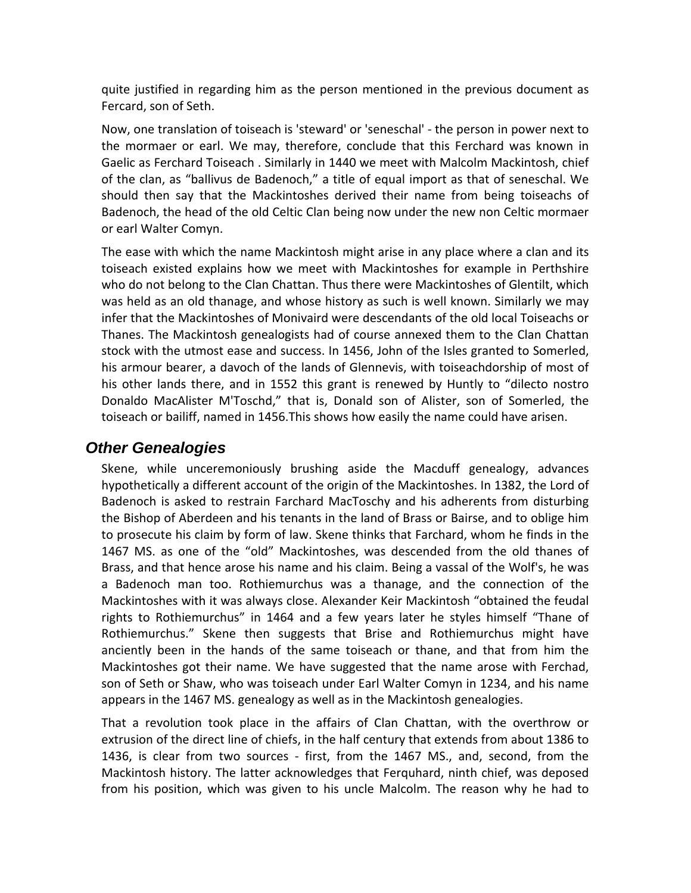quite justified in regarding him as the person mentioned in the previous document as Fercard, son of Seth.

Now, one translation of toiseach is 'steward' or 'seneschal' ‐ the person in power next to the mormaer or earl. We may, therefore, conclude that this Ferchard was known in Gaelic as Ferchard Toiseach . Similarly in 1440 we meet with Malcolm Mackintosh, chief of the clan, as "ballivus de Badenoch," a title of equal import as that of seneschal. We should then say that the Mackintoshes derived their name from being toiseachs of Badenoch, the head of the old Celtic Clan being now under the new non Celtic mormaer or earl Walter Comyn.

The ease with which the name Mackintosh might arise in any place where a clan and its toiseach existed explains how we meet with Mackintoshes for example in Perthshire who do not belong to the Clan Chattan. Thus there were Mackintoshes of Glentilt, which was held as an old thanage, and whose history as such is well known. Similarly we may infer that the Mackintoshes of Monivaird were descendants of the old local Toiseachs or Thanes. The Mackintosh genealogists had of course annexed them to the Clan Chattan stock with the utmost ease and success. In 1456, John of the Isles granted to Somerled, his armour bearer, a davoch of the lands of Glennevis, with toiseachdorship of most of his other lands there, and in 1552 this grant is renewed by Huntly to "dilecto nostro Donaldo MacAlister M'Toschd," that is, Donald son of Alister, son of Somerled, the toiseach or bailiff, named in 1456.This shows how easily the name could have arisen.

# *Other Genealogies*

Skene, while unceremoniously brushing aside the Macduff genealogy, advances hypothetically a different account of the origin of the Mackintoshes. In 1382, the Lord of Badenoch is asked to restrain Farchard MacToschy and his adherents from disturbing the Bishop of Aberdeen and his tenants in the land of Brass or Bairse, and to oblige him to prosecute his claim by form of law. Skene thinks that Farchard, whom he finds in the 1467 MS. as one of the "old" Mackintoshes, was descended from the old thanes of Brass, and that hence arose his name and his claim. Being a vassal of the Wolf's, he was a Badenoch man too. Rothiemurchus was a thanage, and the connection of the Mackintoshes with it was always close. Alexander Keir Mackintosh "obtained the feudal rights to Rothiemurchus" in 1464 and a few years later he styles himself "Thane of Rothiemurchus." Skene then suggests that Brise and Rothiemurchus might have anciently been in the hands of the same toiseach or thane, and that from him the Mackintoshes got their name. We have suggested that the name arose with Ferchad, son of Seth or Shaw, who was toiseach under Earl Walter Comyn in 1234, and his name appears in the 1467 MS. genealogy as well as in the Mackintosh genealogies.

That a revolution took place in the affairs of Clan Chattan, with the overthrow or extrusion of the direct line of chiefs, in the half century that extends from about 1386 to 1436, is clear from two sources - first, from the 1467 MS., and, second, from the Mackintosh history. The latter acknowledges that Ferquhard, ninth chief, was deposed from his position, which was given to his uncle Malcolm. The reason why he had to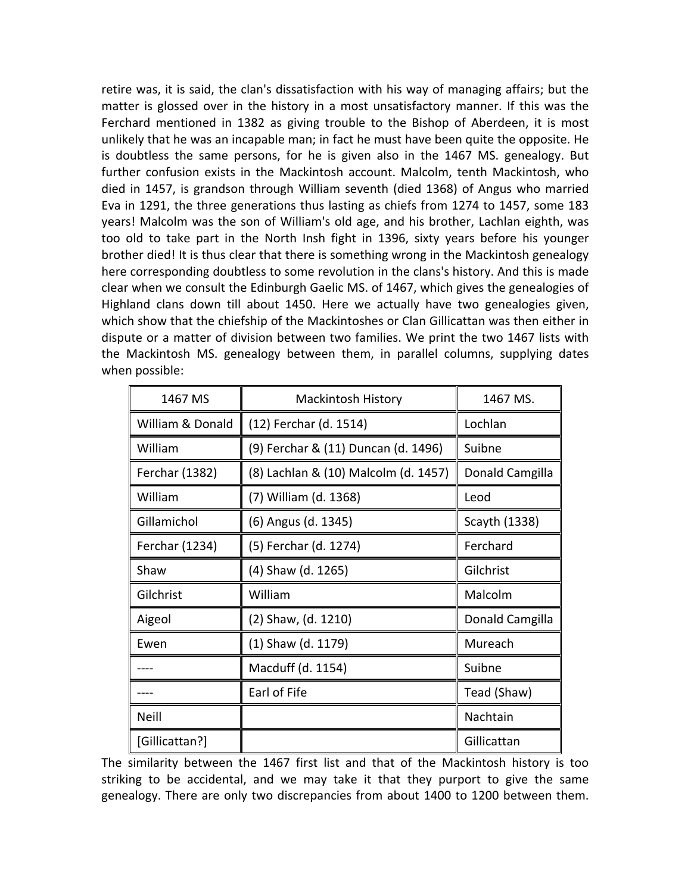retire was, it is said, the clan's dissatisfaction with his way of managing affairs; but the matter is glossed over in the history in a most unsatisfactory manner. If this was the Ferchard mentioned in 1382 as giving trouble to the Bishop of Aberdeen, it is most unlikely that he was an incapable man; in fact he must have been quite the opposite. He is doubtless the same persons, for he is given also in the 1467 MS. genealogy. But further confusion exists in the Mackintosh account. Malcolm, tenth Mackintosh, who died in 1457, is grandson through William seventh (died 1368) of Angus who married Eva in 1291, the three generations thus lasting as chiefs from 1274 to 1457, some 183 years! Malcolm was the son of William's old age, and his brother, Lachlan eighth, was too old to take part in the North Insh fight in 1396, sixty years before his younger brother died! It is thus clear that there is something wrong in the Mackintosh genealogy here corresponding doubtless to some revolution in the clans's history. And this is made clear when we consult the Edinburgh Gaelic MS. of 1467, which gives the genealogies of Highland clans down till about 1450. Here we actually have two genealogies given, which show that the chiefship of the Mackintoshes or Clan Gillicattan was then either in dispute or a matter of division between two families. We print the two 1467 lists with the Mackintosh MS. genealogy between them, in parallel columns, supplying dates when possible:

| 1467 MS          | <b>Mackintosh History</b>            | 1467 MS.        |
|------------------|--------------------------------------|-----------------|
| William & Donald | (12) Ferchar (d. 1514)               | Lochlan         |
| William          | (9) Ferchar & (11) Duncan (d. 1496)  | Suibne          |
| Ferchar (1382)   | (8) Lachlan & (10) Malcolm (d. 1457) | Donald Camgilla |
| William          | (7) William (d. 1368)                | Leod            |
| Gillamichol      | (6) Angus (d. 1345)                  | Scayth (1338)   |
| Ferchar (1234)   | (5) Ferchar (d. 1274)                | Ferchard        |
| Shaw             | (4) Shaw (d. 1265)                   | Gilchrist       |
| Gilchrist        | William                              | Malcolm         |
| Aigeol           | (2) Shaw, (d. 1210)                  | Donald Camgilla |
| Ewen             | (1) Shaw (d. 1179)                   | Mureach         |
|                  | Macduff (d. 1154)                    | Suibne          |
|                  | Earl of Fife                         | Tead (Shaw)     |
| Neill            |                                      | Nachtain        |
| [Gillicattan?]   |                                      | Gillicattan     |

The similarity between the 1467 first list and that of the Mackintosh history is too striking to be accidental, and we may take it that they purport to give the same genealogy. There are only two discrepancies from about 1400 to 1200 between them.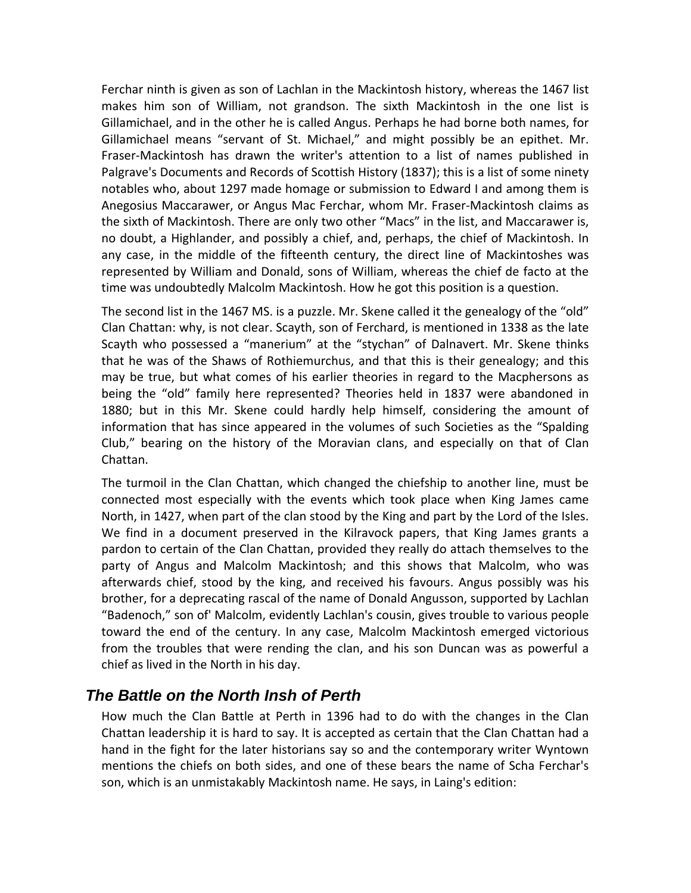Ferchar ninth is given as son of Lachlan in the Mackintosh history, whereas the 1467 list makes him son of William, not grandson. The sixth Mackintosh in the one list is Gillamichael, and in the other he is called Angus. Perhaps he had borne both names, for Gillamichael means "servant of St. Michael," and might possibly be an epithet. Mr. Fraser‐Mackintosh has drawn the writer's attention to a list of names published in Palgrave's Documents and Records of Scottish History (1837); this is a list of some ninety notables who, about 1297 made homage or submission to Edward I and among them is Anegosius Maccarawer, or Angus Mac Ferchar, whom Mr. Fraser‐Mackintosh claims as the sixth of Mackintosh. There are only two other "Macs" in the list, and Maccarawer is, no doubt, a Highlander, and possibly a chief, and, perhaps, the chief of Mackintosh. In any case, in the middle of the fifteenth century, the direct line of Mackintoshes was represented by William and Donald, sons of William, whereas the chief de facto at the time was undoubtedly Malcolm Mackintosh. How he got this position is a question.

The second list in the 1467 MS. is a puzzle. Mr. Skene called it the genealogy of the "old" Clan Chattan: why, is not clear. Scayth, son of Ferchard, is mentioned in 1338 as the late Scayth who possessed a "manerium" at the "stychan" of Dalnavert. Mr. Skene thinks that he was of the Shaws of Rothiemurchus, and that this is their genealogy; and this may be true, but what comes of his earlier theories in regard to the Macphersons as being the "old" family here represented? Theories held in 1837 were abandoned in 1880; but in this Mr. Skene could hardly help himself, considering the amount of information that has since appeared in the volumes of such Societies as the "Spalding Club," bearing on the history of the Moravian clans, and especially on that of Clan Chattan.

The turmoil in the Clan Chattan, which changed the chiefship to another line, must be connected most especially with the events which took place when King James came North, in 1427, when part of the clan stood by the King and part by the Lord of the Isles. We find in a document preserved in the Kilravock papers, that King James grants a pardon to certain of the Clan Chattan, provided they really do attach themselves to the party of Angus and Malcolm Mackintosh; and this shows that Malcolm, who was afterwards chief, stood by the king, and received his favours. Angus possibly was his brother, for a deprecating rascal of the name of Donald Angusson, supported by Lachlan "Badenoch," son of' Malcolm, evidently Lachlan's cousin, gives trouble to various people toward the end of the century. In any case, Malcolm Mackintosh emerged victorious from the troubles that were rending the clan, and his son Duncan was as powerful a chief as lived in the North in his day.

# *The Battle on the North Insh of Perth*

How much the Clan Battle at Perth in 1396 had to do with the changes in the Clan Chattan leadership it is hard to say. It is accepted as certain that the Clan Chattan had a hand in the fight for the later historians say so and the contemporary writer Wyntown mentions the chiefs on both sides, and one of these bears the name of Scha Ferchar's son, which is an unmistakably Mackintosh name. He says, in Laing's edition: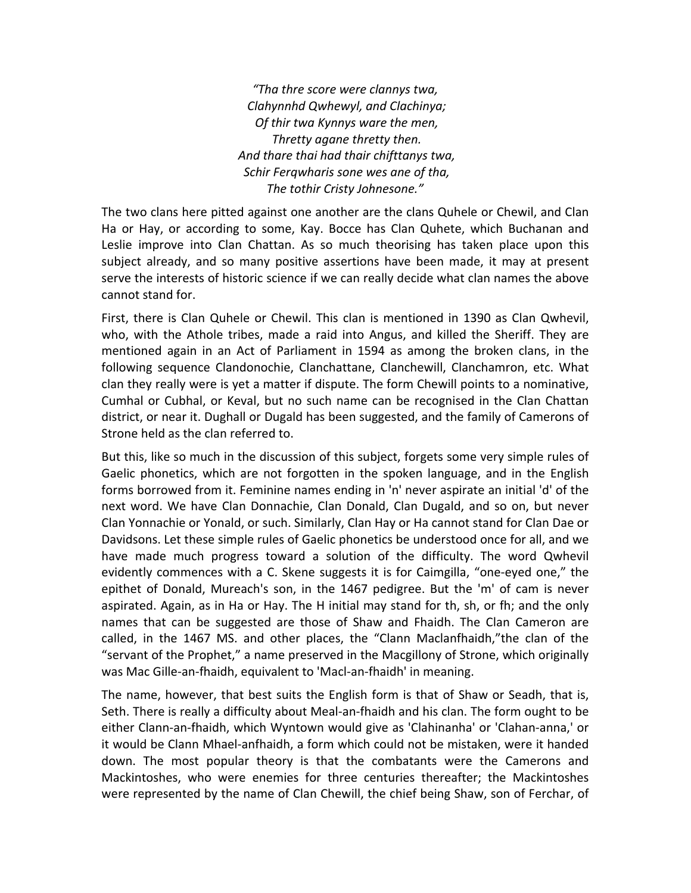*"Tha thre score were clannys twa, Clahynnhd Qwhewyl, and Clachinya; Of thir twa Kynnys ware the men, Thretty agane thretty then. And thare thai had thair chifttanys twa, Schir Ferqwharis sone wes ane of tha, The tothir Cristy Johnesone."*

The two clans here pitted against one another are the clans Quhele or Chewil, and Clan Ha or Hay, or according to some, Kay. Bocce has Clan Quhete, which Buchanan and Leslie improve into Clan Chattan. As so much theorising has taken place upon this subject already, and so many positive assertions have been made, it may at present serve the interests of historic science if we can really decide what clan names the above cannot stand for.

First, there is Clan Quhele or Chewil. This clan is mentioned in 1390 as Clan Qwhevil, who, with the Athole tribes, made a raid into Angus, and killed the Sheriff. They are mentioned again in an Act of Parliament in 1594 as among the broken clans, in the following sequence Clandonochie, Clanchattane, Clanchewill, Clanchamron, etc. What clan they really were is yet a matter if dispute. The form Chewill points to a nominative, Cumhal or Cubhal, or Keval, but no such name can be recognised in the Clan Chattan district, or near it. Dughall or Dugald has been suggested, and the family of Camerons of Strone held as the clan referred to.

But this, like so much in the discussion of this subject, forgets some very simple rules of Gaelic phonetics, which are not forgotten in the spoken language, and in the English forms borrowed from it. Feminine names ending in 'n' never aspirate an initial 'd' of the next word. We have Clan Donnachie, Clan Donald, Clan Dugald, and so on, but never Clan Yonnachie or Yonald, or such. Similarly, Clan Hay or Ha cannot stand for Clan Dae or Davidsons. Let these simple rules of Gaelic phonetics be understood once for all, and we have made much progress toward a solution of the difficulty. The word Qwhevil evidently commences with a C. Skene suggests it is for Caimgilla, "one-eyed one," the epithet of Donald, Mureach's son, in the 1467 pedigree. But the 'm' of cam is never aspirated. Again, as in Ha or Hay. The H initial may stand for th, sh, or fh; and the only names that can be suggested are those of Shaw and Fhaidh. The Clan Cameron are called, in the 1467 MS. and other places, the "Clann Maclanfhaidh,"the clan of the "servant of the Prophet," a name preserved in the Macgillony of Strone, which originally was Mac Gille-an-fhaidh, equivalent to 'Macl-an-fhaidh' in meaning.

The name, however, that best suits the English form is that of Shaw or Seadh, that is, Seth. There is really a difficulty about Meal‐an‐fhaidh and his clan. The form ought to be either Clann‐an‐fhaidh, which Wyntown would give as 'Clahinanha' or 'Clahan‐anna,' or it would be Clann Mhael‐anfhaidh, a form which could not be mistaken, were it handed down. The most popular theory is that the combatants were the Camerons and Mackintoshes, who were enemies for three centuries thereafter; the Mackintoshes were represented by the name of Clan Chewill, the chief being Shaw, son of Ferchar, of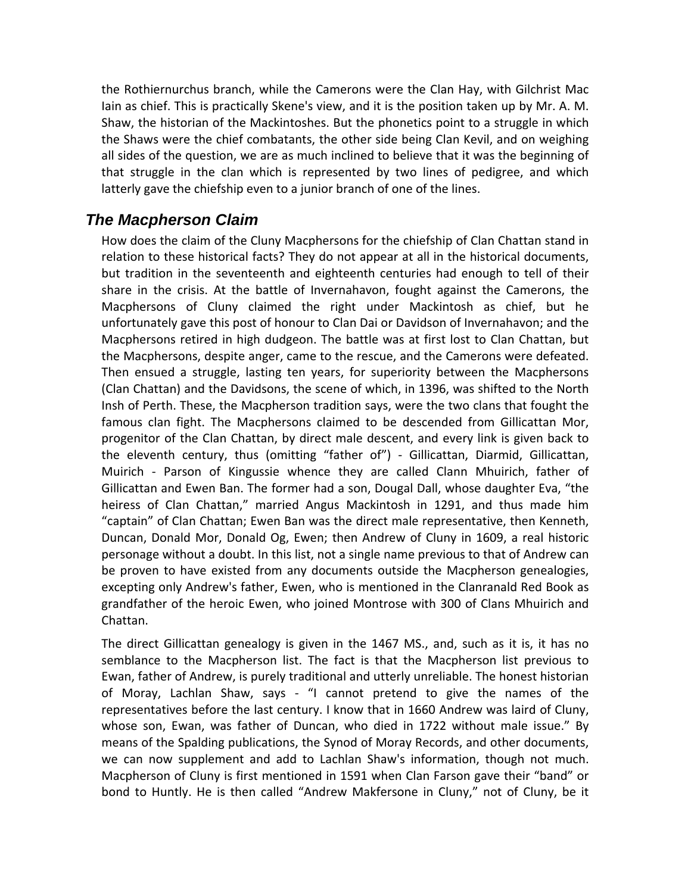the Rothiernurchus branch, while the Camerons were the Clan Hay, with Gilchrist Mac Iain as chief. This is practically Skene's view, and it is the position taken up by Mr. A. M. Shaw, the historian of the Mackintoshes. But the phonetics point to a struggle in which the Shaws were the chief combatants, the other side being Clan Kevil, and on weighing all sides of the question, we are as much inclined to believe that it was the beginning of that struggle in the clan which is represented by two lines of pedigree, and which latterly gave the chiefship even to a junior branch of one of the lines.

# *The Macpherson Claim*

How does the claim of the Cluny Macphersons for the chiefship of Clan Chattan stand in relation to these historical facts? They do not appear at all in the historical documents, but tradition in the seventeenth and eighteenth centuries had enough to tell of their share in the crisis. At the battle of Invernahavon, fought against the Camerons, the Macphersons of Cluny claimed the right under Mackintosh as chief, but he unfortunately gave this post of honour to Clan Dai or Davidson of Invernahavon; and the Macphersons retired in high dudgeon. The battle was at first lost to Clan Chattan, but the Macphersons, despite anger, came to the rescue, and the Camerons were defeated. Then ensued a struggle, lasting ten years, for superiority between the Macphersons (Clan Chattan) and the Davidsons, the scene of which, in 1396, was shifted to the North Insh of Perth. These, the Macpherson tradition says, were the two clans that fought the famous clan fight. The Macphersons claimed to be descended from Gillicattan Mor, progenitor of the Clan Chattan, by direct male descent, and every link is given back to the eleventh century, thus (omitting "father of") ‐ Gillicattan, Diarmid, Gillicattan, Muirich ‐ Parson of Kingussie whence they are called Clann Mhuirich, father of Gillicattan and Ewen Ban. The former had a son, Dougal Dall, whose daughter Eva, "the heiress of Clan Chattan," married Angus Mackintosh in 1291, and thus made him "captain" of Clan Chattan; Ewen Ban was the direct male representative, then Kenneth, Duncan, Donald Mor, Donald Og, Ewen; then Andrew of Cluny in 1609, a real historic personage without a doubt. In this list, not a single name previous to that of Andrew can be proven to have existed from any documents outside the Macpherson genealogies, excepting only Andrew's father, Ewen, who is mentioned in the Clanranald Red Book as grandfather of the heroic Ewen, who joined Montrose with 300 of Clans Mhuirich and Chattan.

The direct Gillicattan genealogy is given in the 1467 MS., and, such as it is, it has no semblance to the Macpherson list. The fact is that the Macpherson list previous to Ewan, father of Andrew, is purely traditional and utterly unreliable. The honest historian of Moray, Lachlan Shaw, says ‐ "I cannot pretend to give the names of the representatives before the last century. I know that in 1660 Andrew was laird of Cluny, whose son, Ewan, was father of Duncan, who died in 1722 without male issue." By means of the Spalding publications, the Synod of Moray Records, and other documents, we can now supplement and add to Lachlan Shaw's information, though not much. Macpherson of Cluny is first mentioned in 1591 when Clan Farson gave their "band" or bond to Huntly. He is then called "Andrew Makfersone in Cluny," not of Cluny, be it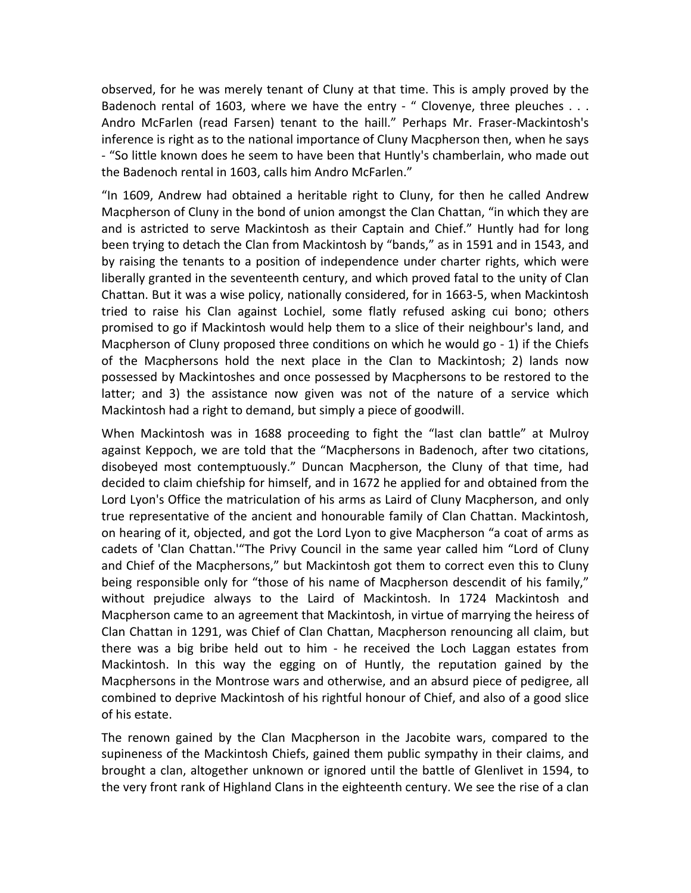observed, for he was merely tenant of Cluny at that time. This is amply proved by the Badenoch rental of 1603, where we have the entry - " Clovenye, three pleuches . . . Andro McFarlen (read Farsen) tenant to the haill." Perhaps Mr. Fraser‐Mackintosh's inference is right as to the national importance of Cluny Macpherson then, when he says ‐ "So little known does he seem to have been that Huntly's chamberlain, who made out the Badenoch rental in 1603, calls him Andro McFarlen."

"In 1609, Andrew had obtained a heritable right to Cluny, for then he called Andrew Macpherson of Cluny in the bond of union amongst the Clan Chattan, "in which they are and is astricted to serve Mackintosh as their Captain and Chief." Huntly had for long been trying to detach the Clan from Mackintosh by "bands," as in 1591 and in 1543, and by raising the tenants to a position of independence under charter rights, which were liberally granted in the seventeenth century, and which proved fatal to the unity of Clan Chattan. But it was a wise policy, nationally considered, for in 1663‐5, when Mackintosh tried to raise his Clan against Lochiel, some flatly refused asking cui bono; others promised to go if Mackintosh would help them to a slice of their neighbour's land, and Macpherson of Cluny proposed three conditions on which he would go ‐ 1) if the Chiefs of the Macphersons hold the next place in the Clan to Mackintosh; 2) lands now possessed by Mackintoshes and once possessed by Macphersons to be restored to the latter; and 3) the assistance now given was not of the nature of a service which Mackintosh had a right to demand, but simply a piece of goodwill.

When Mackintosh was in 1688 proceeding to fight the "last clan battle" at Mulroy against Keppoch, we are told that the "Macphersons in Badenoch, after two citations, disobeyed most contemptuously." Duncan Macpherson, the Cluny of that time, had decided to claim chiefship for himself, and in 1672 he applied for and obtained from the Lord Lyon's Office the matriculation of his arms as Laird of Cluny Macpherson, and only true representative of the ancient and honourable family of Clan Chattan. Mackintosh, on hearing of it, objected, and got the Lord Lyon to give Macpherson "a coat of arms as cadets of 'Clan Chattan.'"The Privy Council in the same year called him "Lord of Cluny and Chief of the Macphersons," but Mackintosh got them to correct even this to Cluny being responsible only for "those of his name of Macpherson descendit of his family," without prejudice always to the Laird of Mackintosh. In 1724 Mackintosh and Macpherson came to an agreement that Mackintosh, in virtue of marrying the heiress of Clan Chattan in 1291, was Chief of Clan Chattan, Macpherson renouncing all claim, but there was a big bribe held out to him ‐ he received the Loch Laggan estates from Mackintosh. In this way the egging on of Huntly, the reputation gained by the Macphersons in the Montrose wars and otherwise, and an absurd piece of pedigree, all combined to deprive Mackintosh of his rightful honour of Chief, and also of a good slice of his estate.

The renown gained by the Clan Macpherson in the Jacobite wars, compared to the supineness of the Mackintosh Chiefs, gained them public sympathy in their claims, and brought a clan, altogether unknown or ignored until the battle of Glenlivet in 1594, to the very front rank of Highland Clans in the eighteenth century. We see the rise of a clan